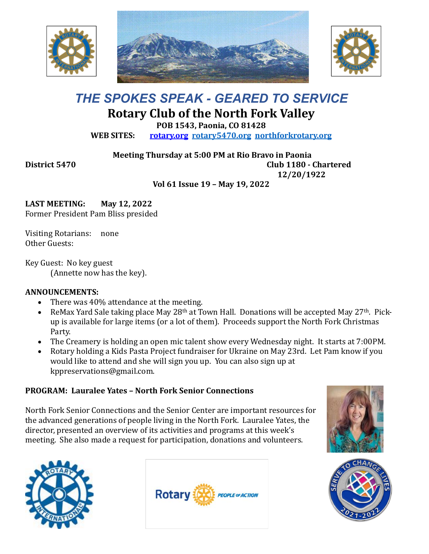





# *THE SPOKES SPEAK - GEARED TO SERVICE* **Rotary Club of the North Fork Valley**

**POB 1543, Paonia, CO 81428**

**WEB SITES: [rotary.org](http://www.rotary.org/) [rotary5470.org](http://rotary5470.org/) [northforkrotary.org](http://www.northforkrotary.org/)**

**Meeting Thursday at 5:00 PM at Rio Bravo in Paonia District 5470 Club 1180 - Chartered 12/20/1922**

**Vol 61 Issue 19 – May 19, 2022**

**LAST MEETING: May 12, 2022** Former President Pam Bliss presided

Visiting Rotarians: none Other Guests:

Key Guest: No key guest (Annette now has the key).

## **ANNOUNCEMENTS:**

- There was 40% attendance at the meeting.
- ReMax Yard Sale taking place May 28<sup>th</sup> at Town Hall. Donations will be accepted May 27<sup>th</sup>. Pickup is available for large items (or a lot of them). Proceeds support the North Fork Christmas Party.
- The Creamery is holding an open mic talent show every Wednesday night. It starts at 7:00PM.
- Rotary holding a Kids Pasta Project fundraiser for Ukraine on May 23rd. Let Pam know if you would like to attend and she will sign you up. You can also sign up at kppreservations@gmail.com.

## **PROGRAM: Lauralee Yates – North Fork Senior Connections**

North Fork Senior Connections and the Senior Center are important resources for the advanced generations of people living in the North Fork. Lauralee Yates, the director, presented an overview of its activities and programs at this week's meeting. She also made a request for participation, donations and volunteers.